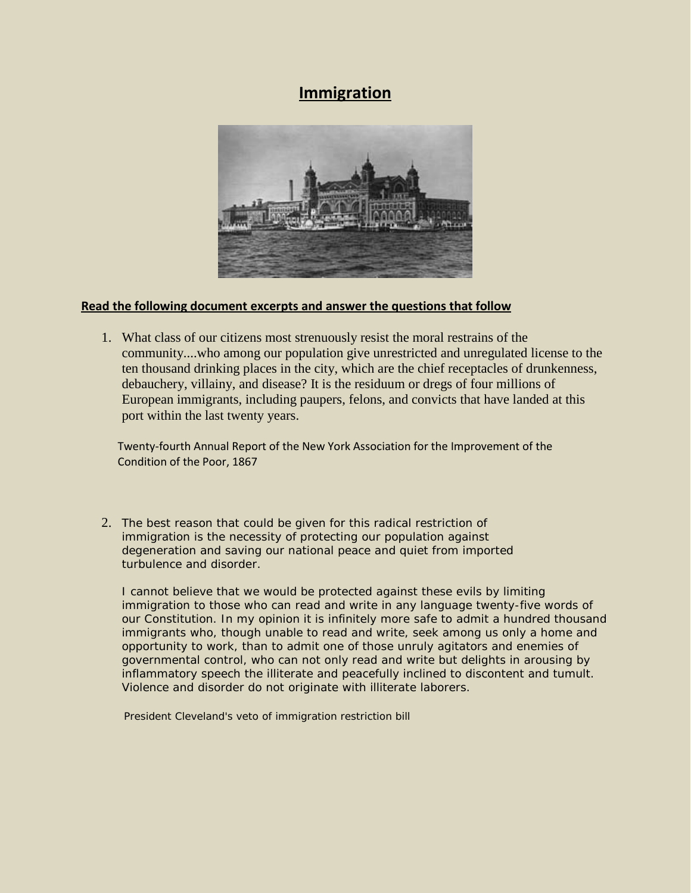# **Immigration**



#### **Read the following document excerpts and answer the questions that follow**

1. What class of our citizens most strenuously resist the moral restrains of the community....who among our population give unrestricted and unregulated license to the ten thousand drinking places in the city, which are the chief receptacles of drunkenness, debauchery, villainy, and disease? It is the residuum or dregs of four millions of European immigrants, including paupers, felons, and convicts that have landed at this port within the last twenty years.

 Twenty-fourth Annual Report of the New York Association for the Improvement of the Condition of the Poor, 1867

2. The best reason that could be given for this radical restriction of immigration is the necessity of protecting our population against degeneration and saving our national peace and quiet from imported turbulence and disorder.

I cannot believe that we would be protected against these evils by limiting immigration to those who can read and write in any language twenty-five words of our Constitution. In my opinion it is infinitely more safe to admit a hundred thousand immigrants who, though unable to read and write, seek among us only a home and opportunity to work, than to admit one of those unruly agitators and enemies of governmental control, who can not only read and write but delights in arousing by inflammatory speech the illiterate and peacefully inclined to discontent and tumult. Violence and disorder do not originate with illiterate laborers.

President Cleveland's veto of immigration restriction bill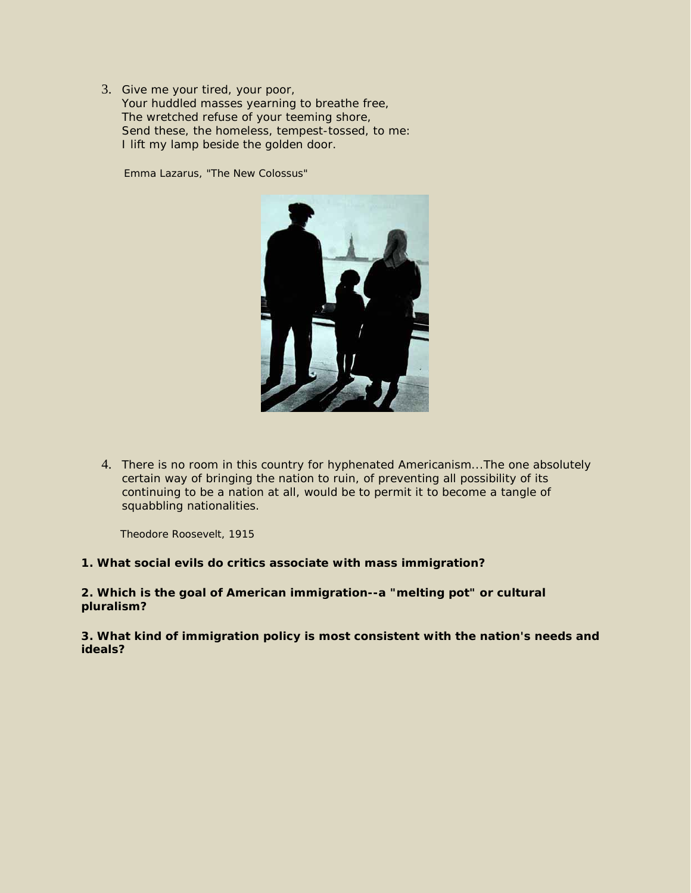3. Give me your tired, your poor, Your huddled masses yearning to breathe free, The wretched refuse of your teeming shore, Send these, the homeless, tempest-tossed, to me: I lift my lamp beside the golden door.

Emma Lazarus, "The New Colossus"



4. There is no room in this country for hyphenated Americanism...The one absolutely certain way of bringing the nation to ruin, of preventing all possibility of its continuing to be a nation at all, would be to permit it to become a tangle of squabbling nationalities.

Theodore Roosevelt, 1915

#### **1. What social evils do critics associate with mass immigration?**

**2. Which is the goal of American immigration--a "melting pot" or cultural pluralism?**

**3. What kind of immigration policy is most consistent with the nation's needs and ideals?**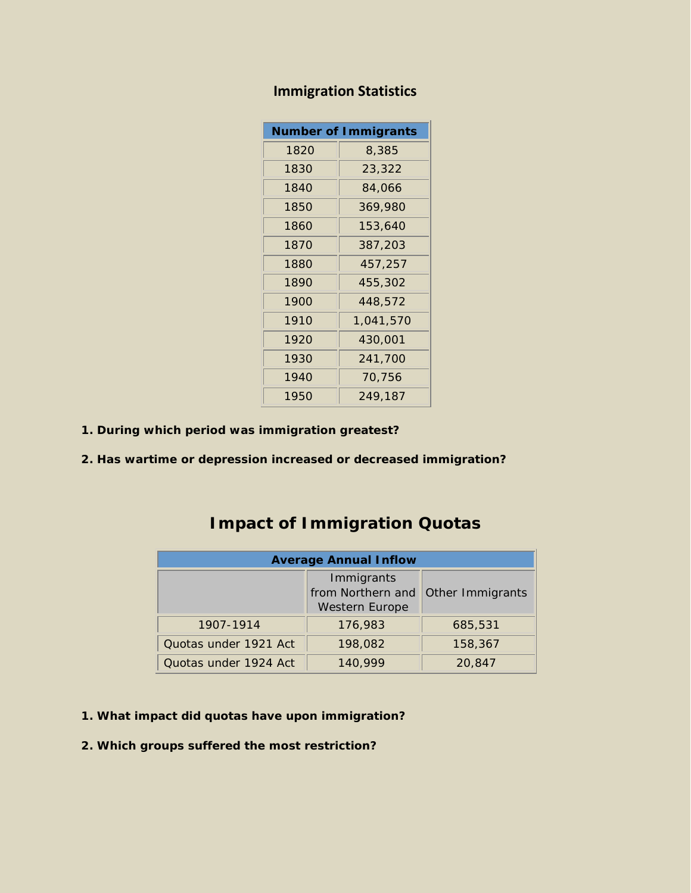| <b>Number of Immigrants</b> |           |  |  |  |
|-----------------------------|-----------|--|--|--|
| 1820                        | 8,385     |  |  |  |
| 1830                        | 23,322    |  |  |  |
| 1840                        | 84,066    |  |  |  |
| 1850                        | 369,980   |  |  |  |
| 1860                        | 153,640   |  |  |  |
| 1870                        | 387,203   |  |  |  |
| 1880                        | 457,257   |  |  |  |
| 1890                        | 455,302   |  |  |  |
| 1900                        | 448,572   |  |  |  |
| 1910                        | 1,041,570 |  |  |  |
| 1920                        | 430,001   |  |  |  |
| 1930                        | 241,700   |  |  |  |
| 1940                        | 70,756    |  |  |  |
| 1950                        | 249,187   |  |  |  |

## **Immigration Statistics**

- **1. During which period was immigration greatest?**
- **2. Has wartime or depression increased or decreased immigration?**

# **Impact of Immigration Quotas**

| <b>Average Annual Inflow</b>                             |         |                  |  |  |  |
|----------------------------------------------------------|---------|------------------|--|--|--|
| Immigrants<br>from Northern and<br><b>Western Europe</b> |         | Other Immigrants |  |  |  |
| 1907-1914                                                | 176,983 | 685,531          |  |  |  |
| Quotas under 1921 Act                                    | 198,082 | 158,367          |  |  |  |
| Quotas under 1924 Act                                    | 140.999 | 20,847           |  |  |  |

- **1. What impact did quotas have upon immigration?**
- **2. Which groups suffered the most restriction?**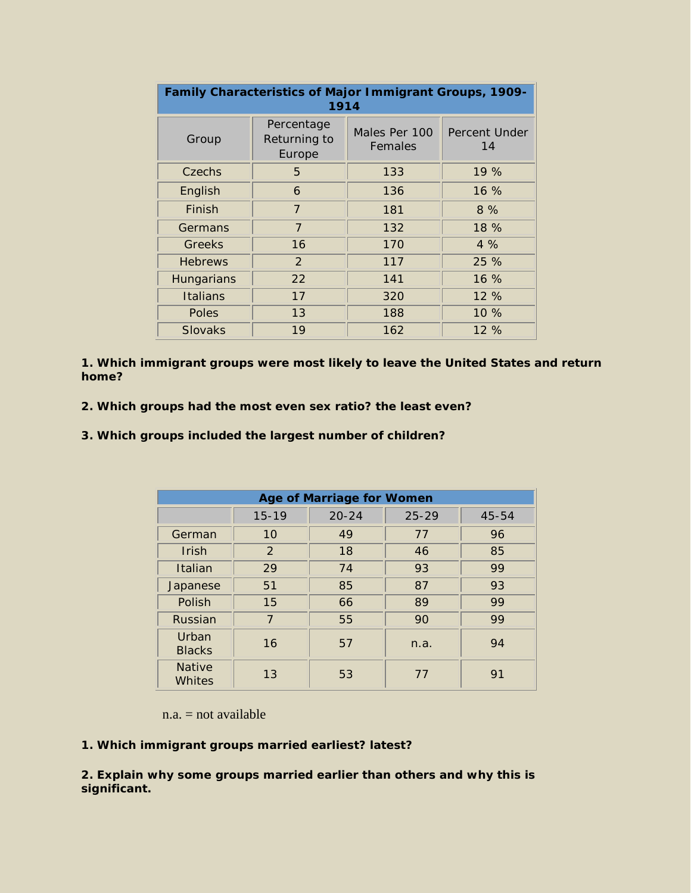| Family Characteristics of Major Immigrant Groups, 1909-<br>1914 |                                      |                          |                            |  |  |  |  |
|-----------------------------------------------------------------|--------------------------------------|--------------------------|----------------------------|--|--|--|--|
| Group                                                           | Percentage<br>Returning to<br>Europe | Males Per 100<br>Females | <b>Percent Under</b><br>14 |  |  |  |  |
| Czechs                                                          | 5                                    | 133                      | 19%                        |  |  |  |  |
| English                                                         | 6                                    | 136                      | $16\%$                     |  |  |  |  |
| Finish                                                          | $\overline{7}$                       | 181                      | 8%                         |  |  |  |  |
| Germans                                                         | $\overline{7}$                       | 132                      | 18 %                       |  |  |  |  |
| Greeks                                                          | 16                                   | 170                      | $4\%$                      |  |  |  |  |
| <b>Hebrews</b>                                                  | 2                                    | 117                      | 25%                        |  |  |  |  |
| Hungarians                                                      | 22                                   | 141                      | $16\%$                     |  |  |  |  |
| Italians                                                        | 17                                   | 320                      | 12 %                       |  |  |  |  |
| <b>Poles</b>                                                    | 13                                   | 188                      | $10\%$                     |  |  |  |  |
| <b>Slovaks</b>                                                  | 19                                   | 162                      | 12%                        |  |  |  |  |

**1. Which immigrant groups were most likely to leave the United States and return home?**

- **2. Which groups had the most even sex ratio? the least even?**
- **3. Which groups included the largest number of children?**

| <b>Age of Marriage for Women</b> |           |           |           |       |  |  |
|----------------------------------|-----------|-----------|-----------|-------|--|--|
|                                  | $15 - 19$ | $20 - 24$ | $25 - 29$ | 45-54 |  |  |
| German                           | 10        | 49        | 77        | 96    |  |  |
| Irish                            | 2         | 18        | 46        | 85    |  |  |
| Italian                          | 29        | 74        | 93        | 99    |  |  |
| Japanese                         | 51        | 85        | 87        | 93    |  |  |
| Polish                           | 15        | 66        | 89        | 99    |  |  |
| Russian                          | 7         | 55        | 90        | 99    |  |  |
| Urban<br><b>Blacks</b>           | 16        | 57        | n.a.      | 94    |  |  |
| <b>Native</b><br>Whites          | 13        | 53        | 77        | 91    |  |  |

 $n.a. = not available$ 

### **1. Which immigrant groups married earliest? latest?**

**2. Explain why some groups married earlier than others and why this is significant.**